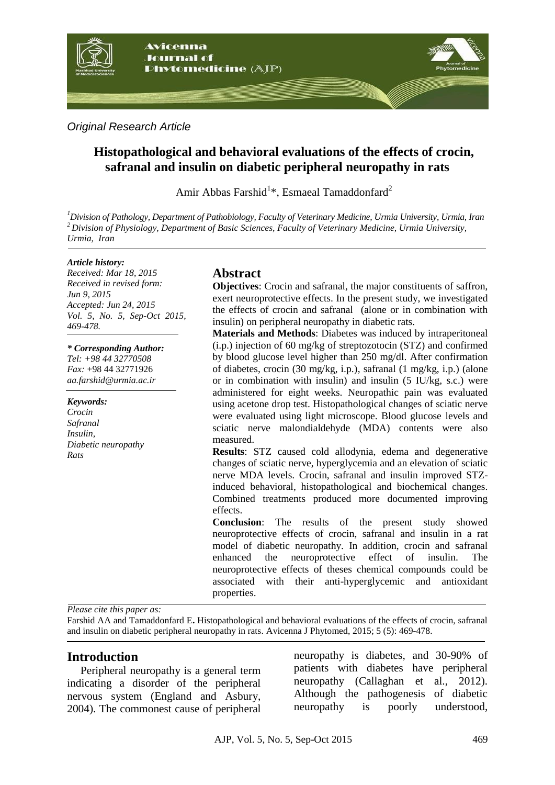

*Original Research Article*

# **Histopathological and behavioral evaluations of the effects of crocin, safranal and insulin on diabetic peripheral neuropathy in rats**

Amir Abbas Farshid<sup>1</sup>\*, Esmaeal Tamaddonfard<sup>2</sup>

*<sup>1</sup>Division of Pathology, Department of Pathobiology, Faculty of Veterinary Medicine, Urmia University, Urmia, Iran <sup>2</sup>Division of Physiology, Department of Basic Sciences, Faculty of Veterinary Medicine, Urmia University, Urmia, Iran*

#### *Article history:*

*Received: Mar 18, 2015 Received in revised form: Jun 9, 2015 Accepted: Jun 24, 2015 Vol. 5, No. 5, Sep-Oct 2015, 469-478.*

*\* Corresponding Author:*

*Tel: +98 44 32770508 Fax:* +98 44 32771926 *aa.farshid@urmia.ac.ir*

*Keywords: Crocin Safranal Insulin, Diabetic neuropathy Rats*

### **Abstract**

**Objectives**: Crocin and safranal, the major constituents of saffron, exert neuroprotective effects. In the present study, we investigated the effects of crocin and safranal (alone or in combination with insulin) on peripheral neuropathy in diabetic rats.

**Materials and Methods**: Diabetes was induced by intraperitoneal (i.p.) injection of 60 mg/kg of streptozotocin (STZ) and confirmed by blood glucose level higher than 250 mg/dl. After confirmation of diabetes, crocin (30 mg/kg, i.p.), safranal (1 mg/kg, i.p.) (alone or in combination with insulin) and insulin (5 IU/kg, s.c.) were administered for eight weeks. Neuropathic pain was evaluated using acetone drop test. Histopathological changes of sciatic nerve were evaluated using light microscope. Blood glucose levels and sciatic nerve malondialdehyde (MDA) contents were also measured.

**Results**: STZ caused cold allodynia, edema and degenerative changes of sciatic nerve, hyperglycemia and an elevation of sciatic nerve MDA levels. Crocin, safranal and insulin improved STZinduced behavioral, histopathological and biochemical changes. Combined treatments produced more documented improving effects.

**Conclusion**: The results of the present study showed neuroprotective effects of crocin, safranal and insulin in a rat model of diabetic neuropathy. In addition, crocin and safranal enhanced the neuroprotective effect of insulin. The neuroprotective effects of theses chemical compounds could be associated with their anti-hyperglycemic and antioxidant properties.

*Please cite this paper as:* 

Farshid AA and Tamaddonfard E**.** Histopathological and behavioral evaluations of the effects of crocin, safranal and insulin on diabetic peripheral neuropathy in rats. Avicenna J Phytomed, 2015; 5 (5): 469-478.

### **Introduction**

Peripheral neuropathy is a general term indicating a disorder of the peripheral nervous system (England and Asbury, 2004). The commonest cause of peripheral

neuropathy is diabetes, and 30-90% of patients with diabetes have peripheral neuropathy (Callaghan et al., 2012). Although the pathogenesis of diabetic neuropathy is poorly understood,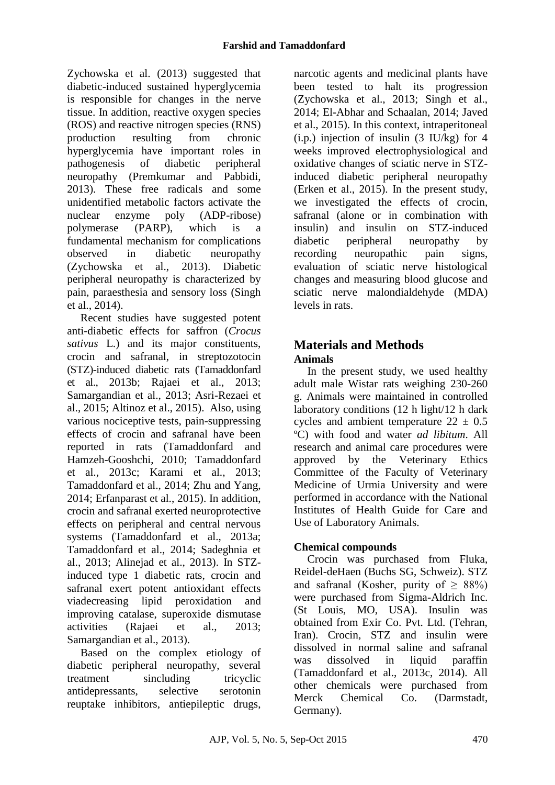Zychowska et al. (2013) suggested that diabetic-induced sustained hyperglycemia is responsible for changes in the nerve tissue. In addition, reactive oxygen species (ROS) and reactive nitrogen species (RNS) production resulting from chronic hyperglycemia have important roles in pathogenesis of diabetic peripheral neuropathy (Premkumar and Pabbidi, 2013). These free radicals and some unidentified metabolic factors activate the nuclear enzyme poly (ADP-ribose) polymerase (PARP), which is a fundamental mechanism for complications observed in diabetic neuropathy (Zychowska et al., 2013). Diabetic peripheral neuropathy is characterized by pain, paraesthesia and sensory loss (Singh et al., 2014).

Recent studies have suggested potent anti-diabetic effects for saffron (*Crocus sativus* L.) and its major constituents, crocin and safranal, in streptozotocin (STZ)-induced diabetic rats (Tamaddonfard et al., 2013b; Rajaei et al., 2013; Samargandian et al., 2013; Asri-Rezaei et al., 2015; Altinoz et al., 2015). Also, using various nociceptive tests, pain-suppressing effects of crocin and safranal have been reported in rats (Tamaddonfard and Hamzeh-Gooshchi, 2010; Tamaddonfard et al., 2013c; Karami et al., 2013; Tamaddonfard et al., 2014; Zhu and Yang, 2014; Erfanparast et al., 2015). In addition, crocin and safranal exerted neuroprotective effects on peripheral and central nervous systems (Tamaddonfard et al., 2013a; Tamaddonfard et al., 2014; Sadeghnia et al., 2013; Alinejad et al., 2013). In STZinduced type 1 diabetic rats, crocin and safranal exert potent antioxidant effects viadecreasing lipid peroxidation and improving catalase, superoxide dismutase activities (Rajaei et al., 2013; Samargandian et al., 2013).

Based on the complex etiology of diabetic peripheral neuropathy, several treatment sincluding tricyclic antidepressants, selective serotonin reuptake inhibitors, antiepileptic drugs,

narcotic agents and medicinal plants have been tested to halt its progression (Zychowska et al., 2013; Singh et al., 2014; El-Abhar and Schaalan, 2014; Javed et al., 2015). In this context, intraperitoneal  $(i.p.)$  injection of insulin  $(3 \text{ IU/kg})$  for 4 weeks improved electrophysiological and oxidative changes of sciatic nerve in STZinduced diabetic peripheral neuropathy (Erken et al., 2015). In the present study, we investigated the effects of crocin, safranal (alone or in combination with insulin) and insulin on STZ-induced diabetic peripheral neuropathy by recording neuropathic pain signs, evaluation of sciatic nerve histological changes and measuring blood glucose and sciatic nerve malondialdehyde (MDA) levels in rats.

# **Materials and Methods Animals**

In the present study, we used healthy adult male Wistar rats weighing 230-260 g. Animals were maintained in controlled laboratory conditions (12 h light/12 h dark cycles and ambient temperature  $22 \pm 0.5$ ºC) with food and water *ad libitum*. All research and animal care procedures were approved by the Veterinary Ethics Committee of the Faculty of Veterinary Medicine of Urmia University and were performed in accordance with the National Institutes of Health Guide for Care and Use of Laboratory Animals.

# **Chemical compounds**

Crocin was purchased from Fluka, Reidel-deHaen (Buchs SG, Schweiz). STZ and safranal (Kosher, purity of  $\geq 88\%$ ) were purchased from Sigma-Aldrich Inc. (St Louis, MO, USA). Insulin was obtained from Exir Co. Pvt. Ltd. (Tehran, Iran). Crocin, STZ and insulin were dissolved in normal saline and safranal was dissolved in liquid paraffin (Tamaddonfard et al., 2013c, 2014). All other chemicals were purchased from Merck Chemical Co. (Darmstadt, Germany).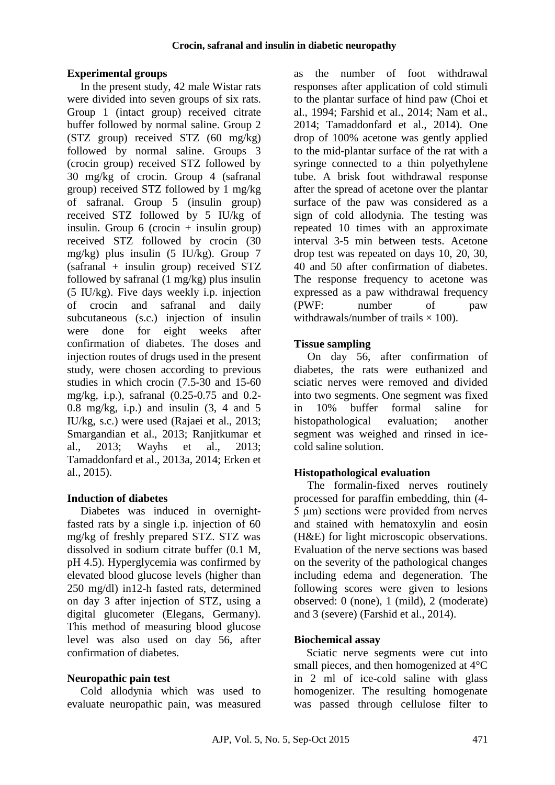### **Experimental groups**

In the present study, 42 male Wistar rats were divided into seven groups of six rats. Group 1 (intact group) received citrate buffer followed by normal saline. Group 2 (STZ group) received STZ (60 mg/kg) followed by normal saline. Groups 3 (crocin group) received STZ followed by 30 mg/kg of crocin. Group 4 (safranal group) received STZ followed by 1 mg/kg of safranal. Group 5 (insulin group) received STZ followed by 5 IU/kg of insulin. Group  $6$  (crocin + insulin group) received STZ followed by crocin (30 mg/kg) plus insulin (5 IU/kg). Group 7 (safranal + insulin group) received STZ followed by safranal  $(1 \text{ mg/kg})$  plus insulin (5 IU/kg). Five days weekly i.p. injection of crocin and safranal and daily subcutaneous (s.c.) injection of insulin were done for eight weeks after confirmation of diabetes. The doses and injection routes of drugs used in the present study, were chosen according to previous studies in which crocin (7.5-30 and 15-60 mg/kg, i.p.), safranal (0.25-0.75 and 0.2- 0.8 mg/kg, i.p.) and insulin (3, 4 and 5 IU/kg, s.c.) were used (Rajaei et al., 2013; Smargandian et al., 2013; Ranjitkumar et al., 2013; Wayhs et al., 2013; Tamaddonfard et al., 2013a, 2014; Erken et al., 2015).

### **Induction of diabetes**

Diabetes was induced in overnightfasted rats by a single i.p. injection of 60 mg/kg of freshly prepared STZ. STZ was dissolved in sodium citrate buffer (0.1 M, pH 4.5). Hyperglycemia was confirmed by elevated blood glucose levels (higher than 250 mg/dl) in12-h fasted rats, determined on day 3 after injection of STZ, using a digital glucometer (Elegans, Germany). This method of measuring blood glucose level was also used on day 56, after confirmation of diabetes.

### **Neuropathic pain test**

Cold allodynia which was used to evaluate neuropathic pain, was measured as the number of foot withdrawal responses after application of cold stimuli to the plantar surface of hind paw (Choi et al., 1994; Farshid et al., 2014; Nam et al., 2014; Tamaddonfard et al., 2014). One drop of 100% acetone was gently applied to the mid-plantar surface of the rat with a syringe connected to a thin polyethylene tube. A brisk foot withdrawal response after the spread of acetone over the plantar surface of the paw was considered as a sign of cold allodynia. The testing was repeated 10 times with an approximate interval 3-5 min between tests. Acetone drop test was repeated on days 10, 20, 30, 40 and 50 after confirmation of diabetes. The response frequency to acetone was expressed as a paw withdrawal frequency (PWF: number of paw withdrawals/number of trails  $\times$  100).

#### **Tissue sampling**

On day 56, after confirmation of diabetes, the rats were euthanized and sciatic nerves were removed and divided into two segments. One segment was fixed in 10% buffer formal saline for histopathological evaluation; another segment was weighed and rinsed in icecold saline solution.

### **Histopathological evaluation**

The formalin-fixed nerves routinely processed for paraffin embedding, thin (4- 5 μm) sections were provided from nerves and stained with hematoxylin and eosin (H&E) for light microscopic observations. Evaluation of the nerve sections was based on the severity of the pathological changes including edema and degeneration. The following scores were given to lesions observed: 0 (none), 1 (mild), 2 (moderate) and 3 (severe) (Farshid et al., 2014).

### **Biochemical assay**

Sciatic nerve segments were cut into small pieces, and then homogenized at 4°C in 2 ml of ice-cold saline with glass homogenizer. The resulting homogenate was passed through cellulose filter to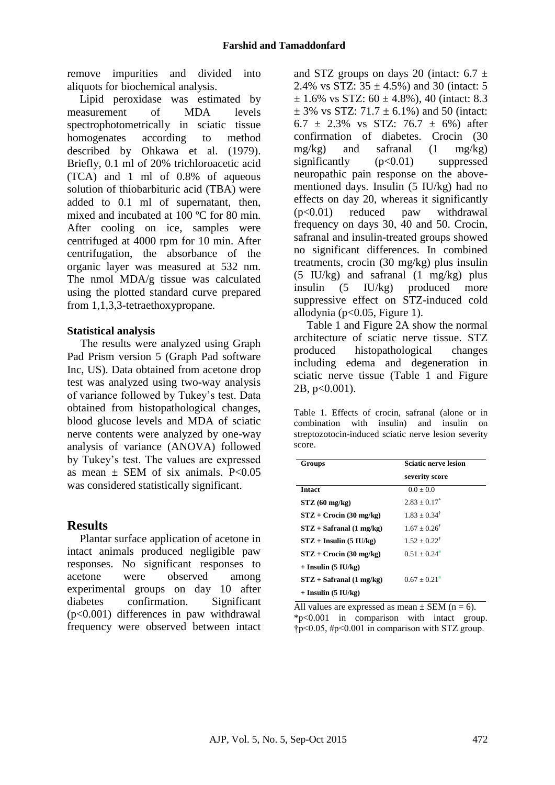remove impurities and divided into aliquots for biochemical analysis.

Lipid peroxidase was estimated by measurement of MDA levels spectrophotometrically in sciatic tissue homogenates according to method described by Ohkawa et al. (1979). Briefly, 0.1 ml of 20% trichloroacetic acid (TCA) and 1 ml of 0.8% of aqueous solution of thiobarbituric acid (TBA) were added to 0.1 ml of supernatant, then, mixed and incubated at 100 ºC for 80 min. After cooling on ice, samples were centrifuged at 4000 rpm for 10 min. After centrifugation, the absorbance of the organic layer was measured at 532 nm. The nmol MDA/g tissue was calculated using the plotted standard curve prepared from 1,1,3,3-tetraethoxypropane.

#### **Statistical analysis**

The results were analyzed using Graph Pad Prism version 5 (Graph Pad software Inc, US). Data obtained from acetone drop test was analyzed using two-way analysis of variance followed by Tukey's test. Data obtained from histopathological changes, blood glucose levels and MDA of sciatic nerve contents were analyzed by one-way analysis of variance (ANOVA) followed by Tukey's test. The values are expressed as mean  $\pm$  SEM of six animals. P<0.05 was considered statistically significant.

## **Results**

Plantar surface application of acetone in intact animals produced negligible paw responses. No significant responses to acetone were observed among experimental groups on day 10 after diabetes confirmation. Significant (p<0.001) differences in paw withdrawal frequency were observed between intact

and STZ groups on days 20 (intact:  $6.7 \pm$ 2.4% vs STZ:  $35 \pm 4.5$ %) and 30 (intact: 5  $\pm$  1.6% vs STZ: 60  $\pm$  4.8%), 40 (intact: 8.3  $\pm$  3% vs STZ: 71.7  $\pm$  6.1%) and 50 (intact: 6.7  $\pm$  2.3% vs STZ: 76.7  $\pm$  6%) after confirmation of diabetes. Crocin (30  $mg/kg$ ) and safranal (1 mg/kg) significantly (p<0.01) suppressed neuropathic pain response on the abovementioned days. Insulin (5 IU/kg) had no effects on day 20, whereas it significantly (p<0.01) reduced paw withdrawal frequency on days 30, 40 and 50. Crocin, safranal and insulin-treated groups showed no significant differences. In combined treatments, crocin (30 mg/kg) plus insulin (5 IU/kg) and safranal (1 mg/kg) plus insulin (5 IU/kg) produced more suppressive effect on STZ-induced cold allodynia ( $p<0.05$ , Figure 1).

Table 1 and Figure 2A show the normal architecture of sciatic nerve tissue. STZ produced histopathological changes including edema and degeneration in sciatic nerve tissue (Table 1 and Figure 2B, p<0.001).

Table 1. Effects of crocin, safranal (alone or in combination with insulin) and insulin on streptozotocin-induced sciatic nerve lesion severity score.

| <b>Groups</b>              | <b>Sciatic nerve lesion</b><br>severity score |
|----------------------------|-----------------------------------------------|
|                            |                                               |
| $STZ(60 \text{ mg/kg})$    | $2.83 + 0.17^*$                               |
| $STZ + Crocin (30 mg/kg)$  | $1.83 + 0.34^{\dagger}$                       |
| $STZ + Safranal (1 mg/kg)$ | $1.67 + 0.26^{\dagger}$                       |
| $STZ + Insulin (5 IU/kg)$  | $1.52 + 0.22^{\dagger}$                       |
| $STZ + Crocin (30 mg/kg)$  | $0.51 + 0.24$ <sup>#</sup>                    |
| $+$ Insulin (5 IU/kg)      |                                               |
| $STZ + Safranal (1 mg/kg)$ | $0.67 + 0.21$ #                               |
| $+$ Insulin (5 IU/kg)      |                                               |

All values are expressed as mean  $\pm$  SEM (n = 6). \*p<0.001 in comparison with intact group. †p<0.05, #p<0.001 in comparison with STZ group.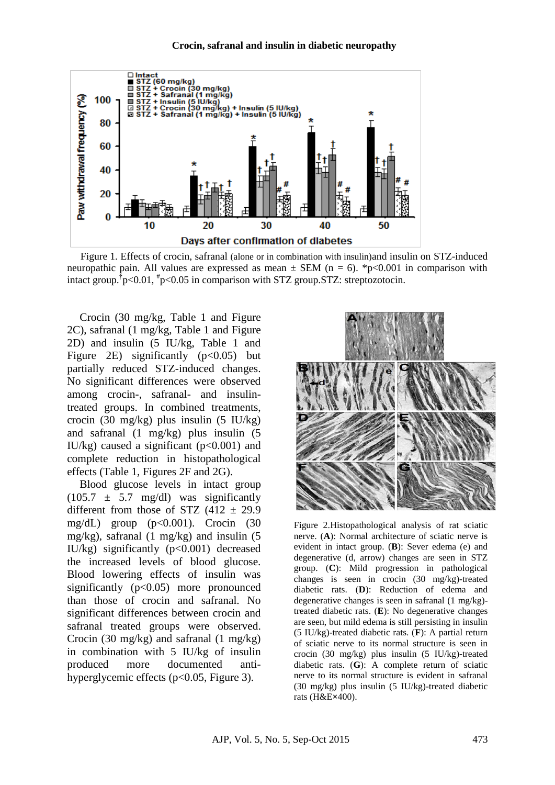

Figure 1. Effects of crocin, safranal (alone or in combination with insulin)and insulin on STZ-induced neuropathic pain. All values are expressed as mean  $\pm$  SEM (n = 6). \*p<0.001 in comparison with intact group.† p<0.01, # p<0.05 in comparison with STZ group.STZ: streptozotocin.

Crocin (30 mg/kg, Table 1 and Figure 2C), safranal (1 mg/kg, Table 1 and Figure 2D) and insulin (5 IU/kg, Table 1 and Figure 2E) significantly  $(p<0.05)$  but partially reduced STZ-induced changes. No significant differences were observed among crocin-, safranal- and insulintreated groups. In combined treatments, crocin (30 mg/kg) plus insulin (5 IU/kg) and safranal (1 mg/kg) plus insulin (5 IU/kg) caused a significant  $(p<0.001)$  and complete reduction in histopathological effects (Table 1, Figures 2F and 2G).

Blood glucose levels in intact group  $(105.7 \pm 5.7 \text{ mg/dl})$  was significantly different from those of STZ  $(412 \pm 29.9)$ mg/dL) group (p<0.001). Crocin (30 mg/kg), safranal  $(1 \text{ mg/kg})$  and insulin  $(5 \text{ m})$ IU/kg) significantly  $(p<0.001)$  decreased the increased levels of blood glucose. Blood lowering effects of insulin was significantly  $(p<0.05)$  more pronounced than those of crocin and safranal. No significant differences between crocin and safranal treated groups were observed. Crocin (30 mg/kg) and safranal (1 mg/kg) in combination with 5 IU/kg of insulin produced more documented antihyperglycemic effects (p<0.05, Figure 3).



Figure 2.Histopathological analysis of rat sciatic nerve. (**A**): Normal architecture of sciatic nerve is evident in intact group. (**B**): Sever edema (e) and degenerative (d, arrow) changes are seen in STZ group. (**C**): Mild progression in pathological changes is seen in crocin (30 mg/kg)-treated diabetic rats. (**D**): Reduction of edema and degenerative changes is seen in safranal (1 mg/kg) treated diabetic rats. (**E**): No degenerative changes are seen, but mild edema is still persisting in insulin (5 IU/kg)-treated diabetic rats. (**F**): A partial return of sciatic nerve to its normal structure is seen in crocin (30 mg/kg) plus insulin (5 IU/kg)-treated diabetic rats. (**G**): A complete return of sciatic nerve to its normal structure is evident in safranal (30 mg/kg) plus insulin (5 IU/kg)-treated diabetic rats (H&E**×**400).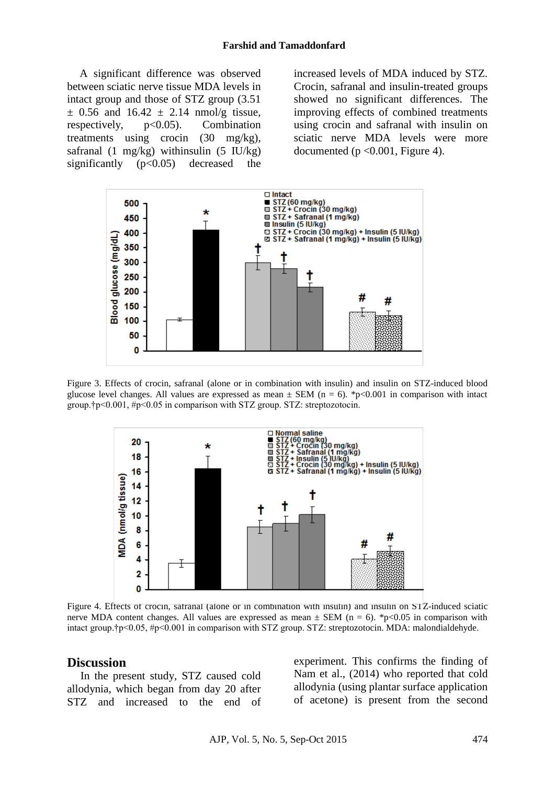A significant difference was observed between sciatic nerve tissue MDA levels in intact group and those of STZ group (3.51  $\pm$  0.56 and 16.42  $\pm$  2.14 nmol/g tissue, respectively,  $p<0.05$ ). Combination treatments using crocin (30 mg/kg), safranal  $(1 \text{ mg/kg})$  withinsulin  $(5 \text{ IU/kg})$ significantly  $(p<0.05)$  decreased the increased levels of MDA induced by STZ. Crocin, safranal and insulin-treated groups showed no significant differences. The improving effects of combined treatments using crocin and safranal with insulin on sciatic nerve MDA levels were more documented ( $p \le 0.001$ , Figure 4).



Figure 3. Effects of crocin, safranal (alone or in combination with insulin) and insulin on STZ-induced blood glucose level changes. All values are expressed as mean  $\pm$  SEM (n = 6). \*p<0.001 in comparison with intact group.†p<0.001, #p<0.05 in comparison with STZ group. STZ: streptozotocin.



Figure 4. Effects of crocin, safranal (alone or in combination with insulin) and insulin on STZ-induced sciatic nerve MDA content changes. All values are expressed as mean  $\pm$  SEM (n = 6). \*p<0.05 in comparison with intact group.†p<0.05, #p<0.001 in comparison with STZ group. STZ: streptozotocin. MDA: malondialdehyde.

#### **Discussion**

In the present study, STZ caused cold allodynia, which began from day 20 after STZ and increased to the end of experiment. This confirms the finding of Nam et al., (2014) who reported that cold allodynia (using plantar surface application of acetone) is present from the second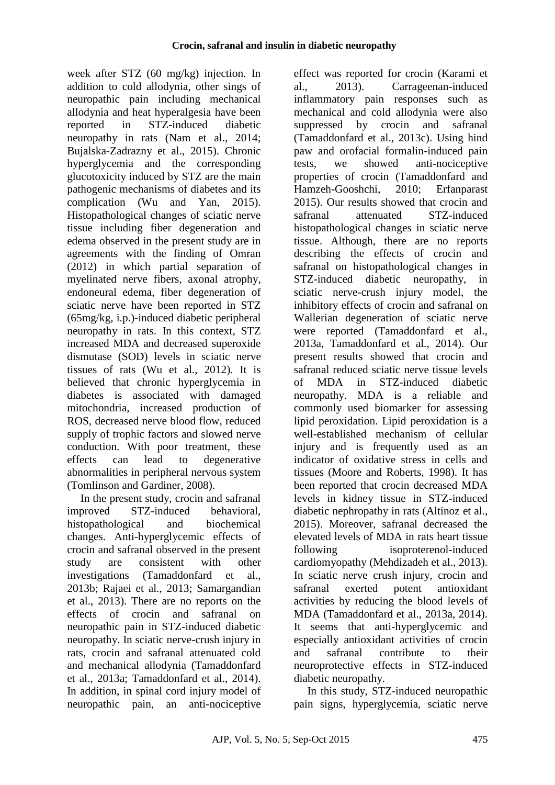week after STZ (60 mg/kg) injection. In addition to cold allodynia, other sings of neuropathic pain including mechanical allodynia and heat hyperalgesia have been reported in STZ-induced diabetic neuropathy in rats (Nam et al., 2014; Bujalska-Zadrazny et al., 2015). Chronic hyperglycemia and the corresponding glucotoxicity induced by STZ are the main pathogenic mechanisms of diabetes and its complication (Wu and Yan, 2015). Histopathological changes of sciatic nerve tissue including fiber degeneration and edema observed in the present study are in agreements with the finding of Omran (2012) in which partial separation of myelinated nerve fibers, axonal atrophy, endoneural edema, fiber degeneration of sciatic nerve have been reported in STZ (65mg/kg, i.p.)-induced diabetic peripheral neuropathy in rats. In this context, STZ increased MDA and decreased superoxide dismutase (SOD) levels in sciatic nerve tissues of rats (Wu et al., 2012). It is believed that chronic hyperglycemia in diabetes is associated with damaged mitochondria, increased production of ROS, decreased nerve blood flow, reduced supply of trophic factors and slowed nerve conduction. With poor treatment, these effects can lead to degenerative abnormalities in peripheral nervous system (Tomlinson and Gardiner, 2008).

In the present study, crocin and safranal improved STZ-induced behavioral, histopathological and biochemical changes. Anti-hyperglycemic effects of crocin and safranal observed in the present study are consistent with other investigations (Tamaddonfard et al., 2013b; Rajaei et al., 2013; Samargandian et al., 2013). There are no reports on the effects of crocin and safranal on neuropathic pain in STZ-induced diabetic neuropathy. In sciatic nerve-crush injury in rats, crocin and safranal attenuated cold and mechanical allodynia (Tamaddonfard et al., 2013a; Tamaddonfard et al., 2014). In addition, in spinal cord injury model of neuropathic pain, an anti-nociceptive

effect was reported for crocin (Karami et al., 2013). Carrageenan-induced inflammatory pain responses such as mechanical and cold allodynia were also suppressed by crocin and safranal (Tamaddonfard et al., 2013c). Using hind paw and orofacial formalin-induced pain tests, we showed anti-nociceptive properties of crocin (Tamaddonfard and Hamzeh-Gooshchi, 2010; Erfanparast 2015). Our results showed that crocin and safranal attenuated STZ-induced histopathological changes in sciatic nerve tissue. Although, there are no reports describing the effects of crocin and safranal on histopathological changes in STZ-induced diabetic neuropathy, in sciatic nerve-crush injury model, the inhibitory effects of crocin and safranal on Wallerian degeneration of sciatic nerve were reported (Tamaddonfard et al., 2013a, Tamaddonfard et al., 2014). Our present results showed that crocin and safranal reduced sciatic nerve tissue levels of MDA in STZ-induced diabetic neuropathy. MDA is a reliable and commonly used biomarker for assessing lipid peroxidation. Lipid peroxidation is a well-established mechanism of cellular injury and is frequently used as an indicator of oxidative stress in cells and tissues (Moore and Roberts, 1998). It has been reported that crocin decreased MDA levels in kidney tissue in STZ-induced diabetic nephropathy in rats (Altinoz et al., 2015). Moreover, safranal decreased the elevated levels of MDA in rats heart tissue following isoproterenol-induced cardiomyopathy (Mehdizadeh et al., 2013). In sciatic nerve crush injury, crocin and safranal exerted potent antioxidant activities by reducing the blood levels of MDA (Tamaddonfard et al., 2013a, 2014). It seems that anti-hyperglycemic and especially antioxidant activities of crocin and safranal contribute to their neuroprotective effects in STZ-induced diabetic neuropathy.

In this study, STZ-induced neuropathic pain signs, hyperglycemia, sciatic nerve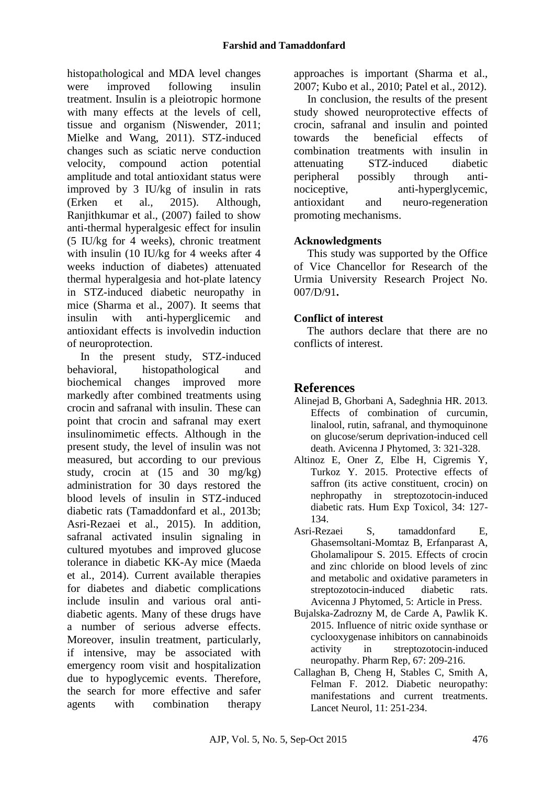histopathological and MDA level changes were improved following insulin treatment. Insulin is a pleiotropic hormone with many effects at the levels of cell, tissue and organism (Niswender, 2011; Mielke and Wang, 2011). STZ-induced changes such as sciatic nerve conduction velocity, compound action potential amplitude and total antioxidant status were improved by 3 IU/kg of insulin in rats (Erken et al., 2015). Although, Ranjithkumar et al., (2007) failed to show anti-thermal hyperalgesic effect for insulin (5 IU/kg for 4 weeks), chronic treatment with insulin (10 IU/kg for 4 weeks after 4 weeks induction of diabetes) attenuated thermal hyperalgesia and hot-plate latency in STZ-induced diabetic neuropathy in mice (Sharma et al., 2007). It seems that insulin with anti-hyperglicemic and antioxidant effects is involvedin induction of neuroprotection.

In the present study, STZ-induced behavioral, histopathological and biochemical changes improved more markedly after combined treatments using crocin and safranal with insulin. These can point that crocin and safranal may exert insulinomimetic effects. Although in the present study, the level of insulin was not measured, but according to our previous study, crocin at (15 and 30 mg/kg) administration for 30 days restored the blood levels of insulin in STZ-induced diabetic rats (Tamaddonfard et al., 2013b; Asri-Rezaei et al., 2015). In addition, safranal activated insulin signaling in cultured myotubes and improved glucose tolerance in diabetic KK-Ay mice (Maeda et al., 2014). Current available therapies for diabetes and diabetic complications include insulin and various oral antidiabetic agents. Many of these drugs have a number of serious adverse effects. Moreover, insulin treatment, particularly, if intensive, may be associated with emergency room visit and hospitalization due to hypoglycemic events. Therefore, the search for more effective and safer agents with combination therapy approaches is important (Sharma et al., 2007; Kubo et al., 2010; Patel et al., 2012).

In conclusion, the results of the present study showed neuroprotective effects of crocin, safranal and insulin and pointed towards the beneficial effects of combination treatments with insulin in attenuating STZ-induced diabetic peripheral possibly through antinociceptive, anti-hyperglycemic, antioxidant and neuro-regeneration promoting mechanisms.

### **Acknowledgments**

This study was supported by the Office of Vice Chancellor for Research of the Urmia University Research Project No. 007/D/91**.**

### **Conflict of interest**

The authors declare that there are no conflicts of interest.

# **References**

- Alinejad B, Ghorbani A, Sadeghnia HR. 2013. Effects of combination of curcumin, linalool, rutin, safranal, and thymoquinone on glucose/serum deprivation-induced cell death. Avicenna J Phytomed, 3: 321-328.
- Altinoz E, Oner Z, Elbe H, Cigremis Y, Turkoz Y. 2015. Protective effects of saffron (its active constituent, crocin) on nephropathy in streptozotocin-induced diabetic rats. Hum Exp Toxicol, 34: 127- 134.
- Asri-Rezaei S, tamaddonfard E, Ghasemsoltani-Momtaz B, Erfanparast A, Gholamalipour S. 2015. Effects of crocin and zinc chloride on blood levels of zinc and metabolic and oxidative parameters in streptozotocin-induced diabetic rats. Avicenna J Phytomed, 5: Article in Press.
- Bujalska-Zadrozny M, de Carde A, Pawlik K. 2015. Influence of nitric oxide synthase or cyclooxygenase inhibitors on cannabinoids activity in streptozotocin-induced neuropathy. Pharm Rep, 67: 209-216.
- Callaghan B, Cheng H, Stables C, Smith A, Felman F. 2012. Diabetic neuropathy: manifestations and current treatments. Lancet Neurol, 11: 251-234.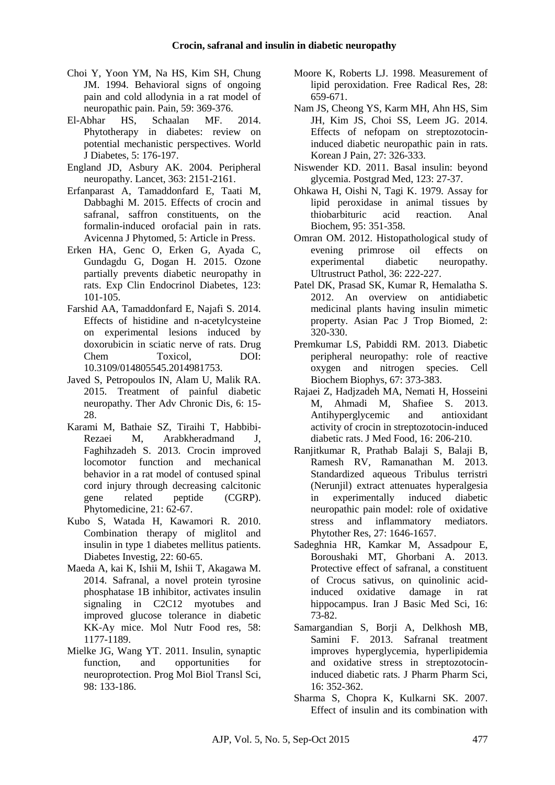- Choi Y, Yoon YM, Na HS, Kim SH, Chung JM. 1994. Behavioral signs of ongoing pain and cold allodynia in a rat model of neuropathic pain. Pain, 59: 369-376.
- El-Abhar HS, Schaalan MF. 2014. Phytotherapy in diabetes: review on potential mechanistic perspectives. World J Diabetes, 5: 176-197.
- England JD, Asbury AK. 2004. Peripheral neuropathy. Lancet, 363: 2151-2161.
- Erfanparast A, Tamaddonfard E, Taati M, Dabbaghi M. 2015. Effects of crocin and safranal, saffron constituents, on the formalin-induced orofacial pain in rats. Avicenna J Phytomed, 5: Article in Press.
- Erken HA, Genc O, Erken G, Ayada C, Gundagdu G, Dogan H. 2015. Ozone partially prevents diabetic neuropathy in rats. Exp Clin Endocrinol Diabetes, 123: 101-105.
- Farshid AA, Tamaddonfard E, Najafi S. 2014. Effects of histidine and n-acetylcysteine on experimental lesions induced by doxorubicin in sciatic nerve of rats. Drug Chem Toxicol, DOI: 10.3109/014805545.2014981753.
- Javed S, Petropoulos IN, Alam U, Malik RA. 2015. Treatment of painful diabetic neuropathy. Ther Adv Chronic Dis, 6: 15- 28.
- Karami M, Bathaie SZ, Tiraihi T, Habbibi-Rezaei M, Arabkheradmand J, Faghihzadeh S. 2013. Crocin improved locomotor function and mechanical behavior in a rat model of contused spinal cord injury through decreasing calcitonic gene related peptide (CGRP). Phytomedicine, 21: 62-67.
- Kubo S, Watada H, Kawamori R. 2010. Combination therapy of miglitol and insulin in type 1 diabetes mellitus patients. Diabetes Investig, 22: 60-65.
- Maeda A, kai K, Ishii M, Ishii T, Akagawa M. 2014. Safranal, a novel protein tyrosine phosphatase 1B inhibitor, activates insulin signaling in C2C12 myotubes and improved glucose tolerance in diabetic KK-Ay mice. Mol Nutr Food res, 58: 1177-1189.
- Mielke JG, Wang YT. 2011. Insulin, synaptic function, and opportunities for neuroprotection. Prog Mol Biol Transl Sci, 98: 133-186.
- Moore K, Roberts LJ. 1998. Measurement of lipid peroxidation. Free Radical Res, 28: 659-671.
- Nam JS, Cheong YS, Karm MH, Ahn HS, Sim JH, Kim JS, Choi SS, Leem JG. 2014. Effects of nefopam on streptozotocininduced diabetic neuropathic pain in rats. Korean J Pain, 27: 326-333.
- Niswender KD. 2011. Basal insulin: beyond glycemia. Postgrad Med, 123: 27-37.
- Ohkawa H, Oishi N, Tagi K. 1979. Assay for lipid peroxidase in animal tissues by thiobarbituric acid reaction. Anal Biochem, 95: 351-358.
- Omran OM. 2012. Histopathological study of evening primrose oil effects on experimental diabetic neuropathy. Ultrustruct Pathol, 36: 222-227.
- Patel DK, Prasad SK, Kumar R, Hemalatha S. 2012. An overview on antidiabetic medicinal plants having insulin mimetic property. Asian Pac J Trop Biomed, 2: 320-330.
- Premkumar LS, Pabiddi RM. 2013. Diabetic peripheral neuropathy: role of reactive oxygen and nitrogen species. Cell Biochem Biophys, 67: 373-383.
- Rajaei Z, Hadjzadeh MA, Nemati H, Hosseini M, Ahmadi M, Shafiee S. 2013. Antihyperglycemic and antioxidant activity of crocin in streptozotocin-induced diabetic rats. J Med Food, 16: 206-210.
- Ranjitkumar R, Prathab Balaji S, Balaji B, Ramesh RV, Ramanathan M. 2013. Standardized aqueous Tribulus terristri (Nerunjil) extract attenuates hyperalgesia in experimentally induced diabetic neuropathic pain model: role of oxidative stress and inflammatory mediators. Phytother Res, 27: 1646-1657.
- Sadeghnia HR, Kamkar M, Assadpour E, Boroushaki MT, Ghorbani A. 2013. Protective effect of safranal, a constituent of Crocus sativus, on quinolinic acidinduced oxidative damage in rat hippocampus. Iran J Basic Med Sci, 16: 73-82.
- Samargandian S, Borji A, Delkhosh MB, Samini F. 2013. Safranal treatment improves hyperglycemia, hyperlipidemia and oxidative stress in streptozotocininduced diabetic rats. J Pharm Pharm Sci, 16: 352-362.
- Sharma S, Chopra K, Kulkarni SK. 2007. Effect of insulin and its combination with